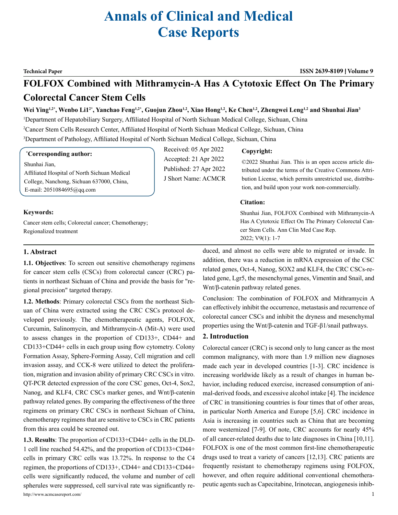# **Annals of Clinical and Medical Case Reports**

**Technical Paper ISSN 2639-8109 Volume 9**

## **FOLFOX Combined with Mithramycin-A Has A Cytotoxic Effect On The Primary Colorectal Cancer Stem Cells**

Wei Ying<sup>1,2\*</sup>, Wenbo Li1<sup>2\*</sup>, Yanchao Feng<sup>1,2\*</sup>, Guojun Zhou<sup>1,2</sup>, Xiao Hong<sup>1,2</sup>, Ke Chen<sup>1,2</sup>, Zhengwei Leng<sup>1,2</sup> and Shunhai Jian<sup>3</sup>

Received: 05 Apr 2022 Accepted: 21 Apr 2022 Published: 27 Apr 2022 J Short Name: ACMCR

1 Department of Hepatobiliary Surgery, Affiliated Hospital of North Sichuan Medical College, Sichuan, China

2 Cancer Stem Cells Research Center, Affiliated Hospital of North Sichuan Medical College, Sichuan, China

3 Department of Pathology, Affiliated Hospital of North Sichuan Medical College, Sichuan, China

#### **\* Corresponding author:**

Shunhai Jian,

Affiliated Hospital of North Sichuan Medical College, Nanchong, Sichuan 637000, China, E-mail: 2051084695@qq.com

#### **Keywords:**

Cancer stem cells; Colorectal cancer; Chemotherapy; Regionalized treatment

#### **Copyright:**

©2022 Shunhai Jian. This is an open access article distributed under the terms of the Creative Commons Attribution License, which permits unrestricted use, distribution, and build upon your work non-commercially.

#### **Citation:**

Shunhai Jian, FOLFOX Combined with Mithramycin-A Has A Cytotoxic Effect On The Primary Colorectal Cancer Stem Cells. Ann Clin Med Case Rep. 2022; V9(1): 1-7

#### **1. Abstract**

**1.1. Objectives**: To screen out sensitive chemotherapy regimens for cancer stem cells (CSCs) from colorectal cancer (CRC) patients in northeast Sichuan of China and provide the basis for "regional precision" targeted therapy.

**1.2. Methods**: Primary colorectal CSCs from the northeast Sichuan of China were extracted using the CRC CSCs protocol developed previously. The chemotherapeutic agents, FOLFOX, Curcumin, Salinomycin, and Mithramycin-A (Mit-A) were used to assess changes in the proportion of CD133+, CD44+ and CD133+CD44+ cells in each group using flow cytometry. Colony Formation Assay, Sphere-Forming Assay, Cell migration and cell invasion assay, and CCK-8 were utilized to detect the proliferation, migration and invasion ability of primary CRC CSCs in vitro. QT-PCR detected expression of the core CSC genes, Oct-4, Sox2, Nanog, and KLF4, CRC CSCs marker genes, and Wnt/β-catenin pathway related genes. By comparing the effectiveness of the three regimens on primary CRC CSCs in northeast Sichuan of China, chemotherapy regimens that are sensitive to CSCs in CRC patients from this area could be screened out.

http://www.acmcasereport.com/ 1 **1.3. Results**: The proportion of CD133+CD44+ cells in the DLD-1 cell line reached 54.42%, and the proportion of CD133+CD44+ cells in primary CRC cells was 13.72%. In response to the C4 regimen, the proportions of CD133+, CD44+ and CD133+CD44+ cells were significantly reduced, the volume and number of cell spherules were suppressed, cell survival rate was significantly re-

duced, and almost no cells were able to migrated or invade. In addition, there was a reduction in mRNA expression of the CSC related genes, Oct-4, Nanog, SOX2 and KLF4, the CRC CSCs-related gene, Lgr5, the mesenchymal genes, Vimentin and Snail, and Wnt/β-catenin pathway related genes.

Conclusion: The combination of FOLFOX and Mithramycin A can effectively inhibit the occurrence, metastasis and recurrence of colorectal cancer CSCs and inhibit the dryness and mesenchymal properties using the Wnt/β-catenin and TGF-β1/snail pathways.

#### **2. Introduction**

Colorectal cancer (CRC) is second only to lung cancer as the most common malignancy, with more than 1.9 million new diagnoses made each year in developed countries [1-3]. CRC incidence is increasing worldwide likely as a result of changes in human behavior, including reduced exercise, increased consumption of animal-derived foods, and excessive alcohol intake [4]. The incidence of CRC in transitioning countries is four times that of other areas, in particular North America and Europe [5,6]. CRC incidence in Asia is increasing in countries such as China that are becoming more westernized [7-9]. Of note, CRC accounts for nearly 45% of all cancer-related deaths due to late diagnoses in China [10,11]. FOLFOX is one of the most common first-line chemotherapeutic drugs used to treat a variety of cancers [12,13]. CRC patients are frequently resistant to chemotherapy regimens using FOLFOX, however, and often require additional conventional chemotherapeutic agents such as Capecitabine, Irinotecan, angiogenesis inhib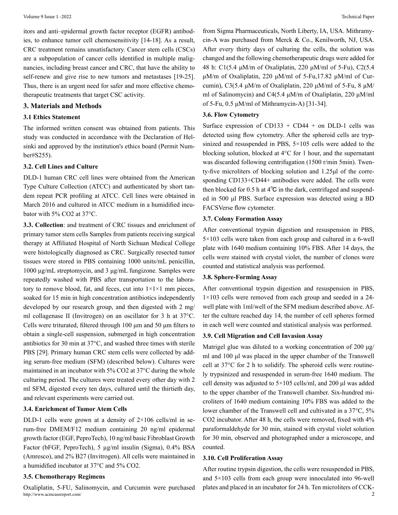itors and anti–epidermal growth factor receptor (EGFR) antibodies, to enhance tumor cell chemosensitivity [14-18]. As a result, CRC treatment remains unsatisfactory. Cancer stem cells (CSCs) are a subpopulation of cancer cells identified in multiple malignancies, including breast cancer and CRC, that have the ability to self-renew and give rise to new tumors and metastases [19-25]. Thus, there is an urgent need for safer and more effective chemotherapeutic treatments that target CSC activity.

#### **3. Materials and Methods**

#### **3.1 Ethics Statement**

The informed written consent was obtained from patients. This study was conducted in accordance with the Declaration of Helsinki and approved by the institution's ethics board (Permit Number#S255).

#### **3.2. Cell Lines and Culture**

DLD-1 human CRC cell lines were obtained from the American Type Culture Collection (ATCC) and authenticated by short tandem repeat PCR profiling at ATCC. Cell lines were obtained in March 2016 and cultured in ATCC medium in a humidified incubator with 5% CO2 at 37°C.

**3.3. Collection**: and treatment of CRC tissues and enrichment of primary tumor stem cells Samples from patients receiving surgical therapy at Affiliated Hospital of North Sichuan Medical College were histologically diagnosed as CRC. Surgically resected tumor tissues were stored in PBS containing 1000 units/mL penicillin, 1000 μg/mL streptomycin, and 3 μg/mL fungizone. Samples were repeatedly washed with PBS after transportation to the laboratory to remove blood, fat, and feces, cut into  $1 \times 1 \times 1$  mm pieces, soaked for 15 min in high concentration antibiotics independently developed by our research group, and then digested with 2 mg/ ml collagenase II (Invitrogen) on an oscillator for 3 h at 37°C. Cells were triturated, filtered through 100 μm and 50 μm filters to obtain a single-cell suspension, submerged in high concentration antibiotics for 30 min at 37°C, and washed three times with sterile PBS [29]. Primary human CRC stem cells were collected by adding serum-free medium (SFM) (described below). Cultures were maintained in an incubator with 5% CO2 at 37°C during the whole culturing period. The cultures were treated every other day with 2 ml SFM, digested every ten days, cultured until the thirtieth day, and relevant experiments were carried out.

### **3.4. Enrichment of Tumor Atem Cells**

DLD-1 cells were grown at a density of  $2\times106$  cells/ml in serum-free DMEM/F12 medium containing 20 ng/ml epidermal growth factor (EGF, PeproTech), 10 ng/ml basic Fibroblast Growth Factor (bFGF, PeproTech), 5 µg/ml insulin (Sigma), 0.4% BSA (Amresco), and 2% B27 (Invitrogen). All cells were maintained in a humidified incubator at 37°C and 5% CO2.

#### **3.5. Chemotherapy Regimens**

http://www.acmcasereport.com/ 2 Oxaliplatin, 5-FU, Salinomycin, and Curcumin were purchased

from Sigma Pharmaceuticals, North Liberty, IA, USA. Mithramycin-A was purchased from Merck & Co., Kenilworth, NJ, USA. After every thirty days of culturing the cells, the solution was changed and the following chemotherapeutic drugs were added for 48 h: C1(5.4 μM/m of Oxaliplatin, 220 μM/ml of 5-Fu), C2(5.4 μM/m of Oxaliplatin, 220 μM/ml of 5-Fu,17.82 μM/ml of Curcumin), C3(5.4 μM/m of Oxaliplatin, 220 μM/ml of 5-Fu, 8 μM/ ml of Salinomycin) and C4(5.4 μM/m of Oxaliplatin, 220 μM/ml of 5-Fu, 0.5 μM/ml of Mithramycin-A) [31-34].

#### **3.6. Flow Cytometry**

Surface expression of CD133 + CD44 + on DLD-1 cells was detected using flow cytometry. After the spheroid cells are trypsinized and resuspended in PBS, 5×105 cells were added to the blocking solution, blocked at 4°C for 1 hour, and the supernatant was discarded following centrifugation (1500 r/min 5min). Twenty-five microliters of blocking solution and 1.25μl of the corresponding CD133+CD44+ antibodies were added. The cells were then blocked for 0.5 h at 4℃ in the dark, centrifuged and suspended in 500 μl PBS. Surface expression was detected using a BD FACSVerse flow cytometer.

#### **3.7. Colony Formation Assay**

After conventional trypsin digestion and resuspension in PBS, 5×103 cells were taken from each group and cultured in a 6-well plate with 1640 medium containing 10% FBS. After 14 days, the cells were stained with crystal violet, the number of clones were counted and statistical analysis was performed.

#### **3.8. Sphere-Forming Assay**

After conventional trypsin digestion and resuspension in PBS, 1×103 cells were removed from each group and seeded in a 24 well plate with 1ml/well of the SFM medium described above. After the culture reached day 14, the number of cell spheres formed in each well were counted and statistical analysis was performed.

#### **3.9. Cell Migration and Cell Invasion Assay**

Matrigel glue was diluted to a working concentration of 200 μg/ ml and 100 μl was placed in the upper chamber of the Transwell cell at 37°C for 2 h to solidify. The spheroid cells were routinely trypsinized and resuspended in serum-free 1640 medium. The cell density was adjusted to 5×105 cells/ml, and 200 μl was added to the upper chamber of the Transwell chamber. Six-hundred microliters of 1640 medium containing 10% FBS was added to the lower chamber of the Transwell cell and cultivated in a 37°C, 5% CO2 incubator. After 48 h, the cells were removed, fixed with 4% paraformaldehyde for 30 min, stained with crystal violet solution for 30 min, observed and photographed under a microscope, and counted.

#### **3.10. Cell Proliferation Assay**

After routine trypsin digestion, the cells were resuspended in PBS, and 5×103 cells from each group were innoculated into 96-well plates and placed in an incubator for 24 h. Ten microliters of CCK-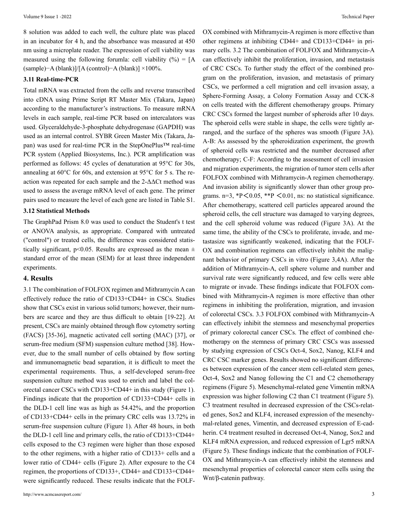#### **3.11 Real-time-PCR**

Total mRNA was extracted from the cells and reverse transcribed into cDNA using Prime Script RT Master Mix (Takara, Japan) according to the manufacturer's instructions. To measure mRNA levels in each sample, real-time PCR based on intercalators was used. Glyceraldehyde-3-phosphate dehydrogenase (GAPDH) was used as an internal control. SYBR Green Master Mix (Takara, Japan) was used for real-time PCR in the StepOnePlus™ real-time PCR system (Applied Biosystems, Inc.). PCR amplification was performed as follows: 45 cycles of denaturation at 95°C for 30s, annealing at 60°C for 60s, and extension at 95°C for 5 s. The reaction was repeated for each sample and the 2-ΔΔCt method was used to assess the average mRNA level of each gene. The primer pairs used to measure the level of each gene are listed in Table S1.

#### **3.12 Statistical Methods**

The GraphPad Prism 8.0 was used to conduct the Student's t test or ANOVA analysis, as appropriate. Compared with untreated ("control") or treated cells, the difference was considered statistically significant, p<0.05. Results are expressed as the mean  $\pm$ standard error of the mean (SEM) for at least three independent experiments.

#### **4. Results**

3.1 The combination of FOLFOX regimen and Mithramycin A can effectively reduce the ratio of CD133+CD44+ in CSCs. Studies show that CSCs exist in various solid tumors; however, their numbers are scarce and they are thus difficult to obtain [19-22]. At present, CSCs are mainly obtained through flow cytometry sorting (FACS) [35-36], magnetic activated cell sorting (MAC) [37], or serum-free medium (SFM) suspension culture method [38]. However, due to the small number of cells obtained by flow sorting and immunomagnetic bead separation, it is difficult to meet the experimental requirements. Thus, a self-developed serum-free suspension culture method was used to enrich and label the colorectal cancer CSCs with CD133+CD44+ in this study (Figure 1). Findings indicate that the proportion of CD133+CD44+ cells in the DLD-1 cell line was as high as 54.42%, and the proportion of CD133+CD44+ cells in the primary CRC cells was 13.72% in serum-free suspension culture (Figure 1). After 48 hours, in both the DLD-1 cell line and primary cells, the ratio of CD133+CD44+ cells exposed to the C3 regimen were higher than those exposed to the other regimens, with a higher ratio of CD133+ cells and a lower ratio of CD44+ cells (Figure 2). After exposure to the C4 regimen, the proportions of CD133+, CD44+ and CD133+CD44+ were significantly reduced. These results indicate that the FOLF-

OX combined with Mithramycin-A regimen is more effective than other regimens at inhibiting CD44+ and CD133+CD44+ in primary cells. 3.2 The combination of FOLFOX and Mithramycin-A can effectively inhibit the proliferation, invasion, and metastasis of CRC CSCs. To further study the effect of the combined program on the proliferation, invasion, and metastasis of primary CSCs, we performed a cell migration and cell invasion assay, a Sphere-Forming Assay, a Colony Formation Assay and CCK-8 on cells treated with the different chemotherapy groups. Primary CRC CSCs formed the largest number of spheroids after 10 days. The spheroid cells were stable in shape, the cells were tightly arranged, and the surface of the spheres was smooth (Figure 3A). A-B: As assessed by the spheroidization experiment, the growth of spheroid cells was restricted and the number decreased after chemotherapy; C-F: According to the assessment of cell invasion and migration experiments, the migration of tumor stem cells after FOLFOX combined with Mithramycin-A regimen chemotherapy. And invasion ability is significantly slower than other group programs. n=3,  $*P < 0.05$ ,  $*P < 0.01$ , ns: no statistical significance. After chemotherapy, scattered cell particles appeared around the spheroid cells, the cell structure was damaged to varying degrees, and the cell spheroid volume was reduced (Figure 3A). At the same time, the ability of the CSCs to proliferate, invade, and metastasize was significantly weakened, indicating that the FOLF-OX and combination regimens can effectively inhibit the malignant behavior of primary CSCs in vitro (Figure 3,4A). After the addition of Mithramycin-A, cell sphere volume and number and survival rate were significantly reduced, and few cells were able to migrate or invade. These findings indicate that FOLFOX combined with Mithramycin-A regimen is more effective than other regimens in inhibiting the proliferation, migration, and invasion of colorectal CSCs. 3.3 FOLFOX combined with Mithramycin-A can effectively inhibit the stemness and mesenchymal properties of primary colorectal cancer CSCs. The effect of combined chemotherapy on the stemness of primary CRC CSCs was assessed by studying expression of CSCs Oct-4, Sox2, Nanog, KLF4 and CRC CSC marker genes. Results showed no significant differences between expression of the cancer stem cell-related stem genes, Oct-4, Sox2 and Nanog following the C1 and C2 chemotherapy regimens (Figure 5). Mesenchymal-related gene Vimentin mRNA expression was higher following C2 than C1 treatment (Figure 5). C3 treatment resulted in decreased expression of the CSCs-related genes, Sox2 and KLF4, increased expression of the mesenchymal-related genes, Vimentin, and decreased expression of E-cadherin. C4 treatment resulted in decreased Oct-4, Nanog, Sox2 and KLF4 mRNA expression, and reduced expression of Lgr5 mRNA (Figure 5). These findings indicate that the combination of FOLF-OX and Mithramycin-A can effectively inhibit the stemness and mesenchymal properties of colorectal cancer stem cells using the Wnt/β-catenin pathway.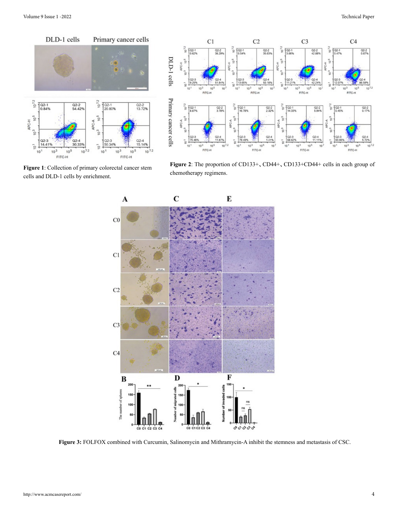

**Figure 1**: Collection of primary colorectal cancer stem cells and DLD-1 cells by enrichment.



**Figure 2**: The proportion of CD133+、CD44+、CD133+CD44+ cells in each group of chemotherapy regimens.



**Figure 3:** FOLFOX combined with Curcumin, Salinomycin and Mithramycin-A inhibit the stemness and metastasis of CSC.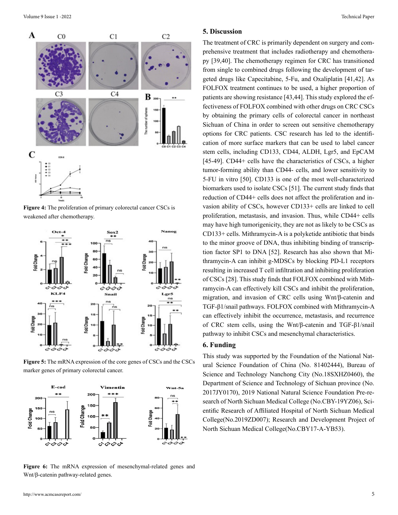

**Figure 4:** The proliferation of primary colorectal cancer CSCs is weakened after chemotherapy.



**Figure 5:** The mRNA expression of the core genes of CSCs and the CSCs marker genes of primary colorectal cancer.



**Figure 6:** The mRNA expression of mesenchymal-related genes and Wnt/β-catenin pathway-related genes.

#### **5. Discussion**

The treatment of CRC is primarily dependent on surgery and comprehensive treatment that includes radiotherapy and chemotherapy [39,40]. The chemotherapy regimen for CRC has transitioned from single to combined drugs following the development of targeted drugs like Capecitabine, 5-Fu, and Oxaliplatin [41,42]. As FOLFOX treatment continues to be used, a higher proportion of patients are showing resistance [43,44]. This study explored the effectiveness of FOLFOX combined with other drugs on CRC CSCs by obtaining the primary cells of colorectal cancer in northeast Sichuan of China in order to screen out sensitive chemotherapy options for CRC patients. CSC research has led to the identification of more surface markers that can be used to label cancer stem cells, including CD133, CD44, ALDH, Lgr5, and EpCAM [45-49]. CD44+ cells have the characteristics of CSCs, a higher tumor-forming ability than CD44- cells, and lower sensitivity to 5-FU in vitro [50]. CD133 is one of the most well-characterized biomarkers used to isolate CSCs [51]. The current study finds that reduction of CD44+ cells does not affect the proliferation and invasion ability of CSCs, however CD133+ cells are linked to cell proliferation, metastasis, and invasion. Thus, while CD44+ cells may have high tumorigenicity, they are not as likely to be CSCs as CD133+ cells. Mithramycin-A is a polyketide antibiotic that binds to the minor groove of DNA, thus inhibiting binding of transcription factor SP1 to DNA [52]. Research has also shown that Mithramycin-A can inhibit g-MDSCs by blocking PD-L1 receptors resulting in increased T cell infiltration and inhibiting proliferation of CSCs [28]. This study finds that FOLFOX combined with Mithramycin-A can effectively kill CSCs and inhibit the proliferation, migration, and invasion of CRC cells using Wnt/β-catenin and TGF-β1/snail pathways. FOLFOX combined with Mithramycin-A can effectively inhibit the occurrence, metastasis, and recurrence of CRC stem cells, using the Wnt/β-catenin and TGF-β1/snail pathway to inhibit CSCs and mesenchymal characteristics.

#### **6. Funding**

This study was supported by the Foundation of the National Natural Science Foundation of China (No. 81402444), Bureau of Science and Technology Nanchong City (No.18SXHZ0460), the Department of Science and Technology of Sichuan province (No. 2017JY0170), 2019 National Natural Science Foundation Pre-research of North Sichuan Medical College (No.CBY-19YZ06), Scientific Research of Affiliated Hospital of North Sichuan Medical College(No.2019ZD007); Research and Development Project of North Sichuan Medical College(No.CBY17-A-YB53).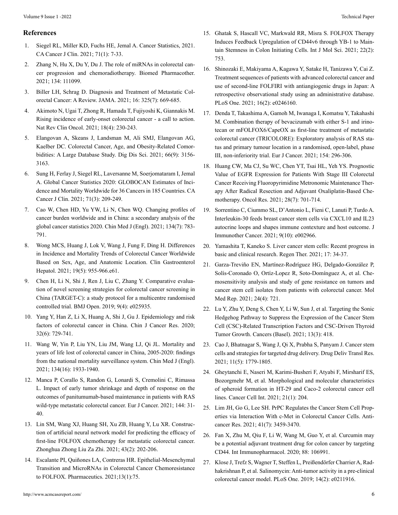#### **References**

- 1. [Siegel RL, Miller KD, Fuchs HE, Jemal A. Cancer Statistics, 2021.](https://pubmed.ncbi.nlm.nih.gov/33433946/)  [CA Cancer J Clin. 2021; 71\(1\): 7-33.](https://pubmed.ncbi.nlm.nih.gov/33433946/)
- 2. [Zhang N, Hu X, Du Y, Du J. The role of miRNAs in colorectal can](https://pubmed.ncbi.nlm.nih.gov/33338745/)[cer progression and chemoradiotherapy. Biomed Pharmacother.](https://pubmed.ncbi.nlm.nih.gov/33338745/)  [2021; 134: 111099.](https://pubmed.ncbi.nlm.nih.gov/33338745/)
- 3. [Biller LH, Schrag D. Diagnosis and Treatment of Metastatic Col](https://pubmed.ncbi.nlm.nih.gov/33591350/)[orectal Cancer: A Review. JAMA. 2021; 16: 325\(7\): 669-685.](https://pubmed.ncbi.nlm.nih.gov/33591350/)
- 4. [Akimoto N, Ugai T, Zhong R, Hamada T, Fujiyoshi K, Giannakis M.](https://pubmed.ncbi.nlm.nih.gov/33219329/) [Rising incidence of early-onset colorectal cancer - a call to action.](https://pubmed.ncbi.nlm.nih.gov/33219329/) [Nat Rev Clin Oncol. 2021; 18\(4\): 230-243.](https://pubmed.ncbi.nlm.nih.gov/33219329/)
- 5. [Elangovan A, Skeans J, Landsman M, Ali SMJ, Elangovan AG,](https://pubmed.ncbi.nlm.nih.gov/32954457/)  [Kaelber DC. Colorectal Cancer, Age, and Obesity-Related Comor](https://pubmed.ncbi.nlm.nih.gov/32954457/)[bidities: A Large Database Study. Dig Dis Sci. 2021; 66\(9\): 3156-](https://pubmed.ncbi.nlm.nih.gov/32954457/) [3163.](https://pubmed.ncbi.nlm.nih.gov/32954457/)
- 6. [Sung H, Ferlay J, Siegel RL, Laversanne M, Soerjomataram I, Jemal](https://pubmed.ncbi.nlm.nih.gov/33538338/) [A. Global Cancer Statistics 2020: GLOBOCAN Estimates of Inci](https://pubmed.ncbi.nlm.nih.gov/33538338/)[dence and Mortality Worldwide for 36 Cancers in 185 Countries. CA](https://pubmed.ncbi.nlm.nih.gov/33538338/) [Cancer J Clin. 2021; 71\(3\): 209-249.](https://pubmed.ncbi.nlm.nih.gov/33538338/)
- 7. [Cao W, Chen HD, Yu YW, Li N, Chen WQ. Changing profiles of](https://pubmed.ncbi.nlm.nih.gov/33734139/)  [cancer burden worldwide and in China: a secondary analysis of the](https://pubmed.ncbi.nlm.nih.gov/33734139/) [global cancer statistics 2020. Chin Med J \(Engl\). 2021; 134\(7\): 783-](https://pubmed.ncbi.nlm.nih.gov/33734139/) [791.](https://pubmed.ncbi.nlm.nih.gov/33734139/)
- 8. [Wong MCS, Huang J, Lok V, Wang J, Fung F, Ding H. Differences](https://pubmed.ncbi.nlm.nih.gov/32088300/) [in Incidence and Mortality Trends of Colorectal Cancer Worldwide](https://pubmed.ncbi.nlm.nih.gov/32088300/) [Based on Sex, Age, and Anatomic Location. Clin Gastroenterol](https://pubmed.ncbi.nlm.nih.gov/32088300/) [Hepatol. 2021; 19\(5\): 955-966.e61.](https://pubmed.ncbi.nlm.nih.gov/32088300/)
- 9. [Chen H, Li N, Shi J, Ren J, Liu C, Zhang Y. Comparative evalua](https://pubmed.ncbi.nlm.nih.gov/31005927/)[tion of novel screening strategies for colorectal cancer screening in](https://pubmed.ncbi.nlm.nih.gov/31005927/) [China \(TARGET-C\): a study protocol for a multicentre randomised](https://pubmed.ncbi.nlm.nih.gov/31005927/) [controlled trial. BMJ Open. 2019; 9\(4\): e025935.](https://pubmed.ncbi.nlm.nih.gov/31005927/)
- 10. [Yang Y, Han Z, Li X, Huang A, Shi J, Gu J. Epidemiology and risk](https://pubmed.ncbi.nlm.nih.gov/33446996/)  [factors of colorectal cancer in China. Chin J Cancer Res. 2020;](https://pubmed.ncbi.nlm.nih.gov/33446996/) [32\(6\): 729-741.](https://pubmed.ncbi.nlm.nih.gov/33446996/)
- 11. [Wang W, Yin P, Liu YN, Liu JM, Wang LJ, Qi JL. Mortality and](https://www.ncbi.nlm.nih.gov/pmc/articles/PMC8382386/) [years of life lost of colorectal cancer in China, 2005-2020: findings](https://www.ncbi.nlm.nih.gov/pmc/articles/PMC8382386/)  [from the national mortality surveillance system. Chin Med J \(Engl\).](https://www.ncbi.nlm.nih.gov/pmc/articles/PMC8382386/) [2021; 134\(16\): 1933-1940.](https://www.ncbi.nlm.nih.gov/pmc/articles/PMC8382386/)
- 12. [Manca P, Corallo S, Randon G, Lonardi S, Cremolini C, Rimassa](https://pubmed.ncbi.nlm.nih.gov/33321462/) [L. Impact of early tumor shrinkage and depth of response on the](https://pubmed.ncbi.nlm.nih.gov/33321462/) [outcomes of panitumumab-based maintenance in patients with RAS](https://pubmed.ncbi.nlm.nih.gov/33321462/)  [wild-type metastatic colorectal cancer. Eur J Cancer. 2021; 144: 31-](https://pubmed.ncbi.nlm.nih.gov/33321462/) [40.](https://pubmed.ncbi.nlm.nih.gov/33321462/)
- 13. [Lin SM, Wang XJ, Huang SH, Xu ZB, Huang Y, Lu XR. Construc](https://pubmed.ncbi.nlm.nih.gov/33601485/)[tion of artificial neural network model for predicting the efficacy of](https://pubmed.ncbi.nlm.nih.gov/33601485/) [first-line FOLFOX chemotherapy for metastatic colorectal cancer.](https://pubmed.ncbi.nlm.nih.gov/33601485/)  [Zhonghua Zhong Liu Za Zhi. 2021; 43\(2\): 202-206.](https://pubmed.ncbi.nlm.nih.gov/33601485/)
- 14. [Escalante PI, Quiñones LA, Contreras HR. Epithelial-Mesenchymal](C:\Users\Canopus\AppData\Local\Temp\Rar$DIa3420.45094\Published 2021 Jan 8) [Transition and MicroRNAs in Colorectal Cancer Chemoresistance](C:\Users\Canopus\AppData\Local\Temp\Rar$DIa3420.45094\Published 2021 Jan 8) to FOLFOX. [Pharmaceutics. 2021;13\(1\):75.](C:\Users\Canopus\AppData\Local\Temp\Rar$DIa3420.45094\Published 2021 Jan 8)
- 16. [Shinozaki E, Makiyama A, Kagawa Y, Satake H, Tanizawa Y, Cai Z.](https://pubmed.ncbi.nlm.nih.gov/33556095/) [Treatment sequences of patients with advanced colorectal cancer and](https://pubmed.ncbi.nlm.nih.gov/33556095/) [use of second-line FOLFIRI with antiangiogenic drugs in Japan: A](https://pubmed.ncbi.nlm.nih.gov/33556095/) [retrospective observational study using an administrative database.](https://pubmed.ncbi.nlm.nih.gov/33556095/) [PLoS One. 2021; 16\(2\): e0246160.](https://pubmed.ncbi.nlm.nih.gov/33556095/)
- 17. [Denda T, Takashima A, Gamoh M, Iwanaga I, Komatsu Y, Takahashi](https://pubmed.ncbi.nlm.nih.gov/34304054/) [M. Combination therapy of bevacizumab with either S-1 and irino](https://pubmed.ncbi.nlm.nih.gov/34304054/)[tecan or mFOLFOX6/CapeOX as first-line treatment of metastatic](https://pubmed.ncbi.nlm.nih.gov/34304054/) [colorectal cancer \(TRICOLORE\): Exploratory analysis of RAS sta](https://pubmed.ncbi.nlm.nih.gov/34304054/)[tus and primary tumour location in a randomised, open-label, phase](https://pubmed.ncbi.nlm.nih.gov/34304054/) [III, non-inferiority trial. Eur J Cancer. 2021; 154: 296-306.](https://pubmed.ncbi.nlm.nih.gov/34304054/)
- 18. [Huang CW, Ma CJ, Su WC, Chen YT, Tsai HL, Yeh YS. Prognostic](https://pubmed.ncbi.nlm.nih.gov/32859280/)  [Value of EGFR Expression for Patients With Stage III Colorectal](https://pubmed.ncbi.nlm.nih.gov/32859280/) [Cancer Receiving Fluoropyrimidine Metronomic Maintenance Ther](https://pubmed.ncbi.nlm.nih.gov/32859280/)[apy After Radical Resection and Adjuvant Oxaliplatin-Based Che](https://pubmed.ncbi.nlm.nih.gov/32859280/)[motherapy. Oncol Res. 2021; 28\(7\): 701-714.](https://pubmed.ncbi.nlm.nih.gov/32859280/)
- 19. [Sorrentino C, Ciummo SL, D'Antonio L, Fieni C, Lanuti P, Turdo A.](https://pubmed.ncbi.nlm.nih.gov/34663639/) [Interleukin-30 feeds breast cancer stem cells via CXCL10 and IL23](https://pubmed.ncbi.nlm.nih.gov/34663639/) [autocrine loops and shapes immune contexture and host outcome. J](https://pubmed.ncbi.nlm.nih.gov/34663639/)  [Immunother Cancer. 2021; 9\(10\): e002966.](https://pubmed.ncbi.nlm.nih.gov/34663639/)
- 20. [Yamashita T, Kaneko S. Liver cancer stem cells: Recent progress in](https://pubmed.ncbi.nlm.nih.gov/33816720/) [basic and clinical research. Regen Ther. 2021; 17: 34-37.](https://pubmed.ncbi.nlm.nih.gov/33816720/)
- 21. [Garza-Treviño EN, Martínez-Rodríguez HG, Delgado-González P,](https://pubmed.ncbi.nlm.nih.gov/34396431/) [Solís-Coronado O, Ortíz-Lopez R, Soto-Domínguez A, et al. Che](https://pubmed.ncbi.nlm.nih.gov/34396431/)[mosensitivity analysis and study of gene resistance on tumors and](https://pubmed.ncbi.nlm.nih.gov/34396431/) [cancer stem cell isolates from patients with colorectal cancer. Mol](https://pubmed.ncbi.nlm.nih.gov/34396431/) [Med Rep. 2021; 24\(4\): 721.](https://pubmed.ncbi.nlm.nih.gov/34396431/)
- 22. [Lu Y, Zhu Y, Deng S, Chen Y, Li W, Sun J, et al. Targeting the Sonic](https://www.google.com/search?q=22.+Lu+Y%2C+Zhu+Y%2C+Deng+S%2C+Chen+Y%2C+Li+W%2C+Sun+J%2C+et+al.+Targeting+the+Sonic+Hedgehog+Pathway+to+Suppress+the+Expression+of+the+Cancer+Stem+Cell+(CSC)-Related+Transcription+Factors+and+CSC-Driven+Thyroid+Tumor+Growth.+Cancers+(Basel).+2021%3B+13(3)%3A+418.&oq=22.%09Lu+Y%2C+Zhu+Y%2C+Deng+S%2C+Chen+Y%2C+Li+W%2C+Sun+J%2C+et+al.+Targeting+the+Sonic+Hedgehog+Pathway+to+Suppress+the+Expression+of+the+Cancer+Stem+Cell+(CSC)-Related+Transcription+Factors+and+CSC-Driven+Thyroid+Tumor+Growth.+Cancers+(Basel).+2021%3B+13(3)%3A+418.&aqs=chrome..69i57.517j0j4&sourceid=chrome&ie=UTF-8) [Hedgehog Pathway to Suppress the Expression of the Cancer Stem](https://www.google.com/search?q=22.+Lu+Y%2C+Zhu+Y%2C+Deng+S%2C+Chen+Y%2C+Li+W%2C+Sun+J%2C+et+al.+Targeting+the+Sonic+Hedgehog+Pathway+to+Suppress+the+Expression+of+the+Cancer+Stem+Cell+(CSC)-Related+Transcription+Factors+and+CSC-Driven+Thyroid+Tumor+Growth.+Cancers+(Basel).+2021%3B+13(3)%3A+418.&oq=22.%09Lu+Y%2C+Zhu+Y%2C+Deng+S%2C+Chen+Y%2C+Li+W%2C+Sun+J%2C+et+al.+Targeting+the+Sonic+Hedgehog+Pathway+to+Suppress+the+Expression+of+the+Cancer+Stem+Cell+(CSC)-Related+Transcription+Factors+and+CSC-Driven+Thyroid+Tumor+Growth.+Cancers+(Basel).+2021%3B+13(3)%3A+418.&aqs=chrome..69i57.517j0j4&sourceid=chrome&ie=UTF-8) [Cell \(CSC\)-Related Transcription Factors and CSC-Driven Thyroid](https://www.google.com/search?q=22.+Lu+Y%2C+Zhu+Y%2C+Deng+S%2C+Chen+Y%2C+Li+W%2C+Sun+J%2C+et+al.+Targeting+the+Sonic+Hedgehog+Pathway+to+Suppress+the+Expression+of+the+Cancer+Stem+Cell+(CSC)-Related+Transcription+Factors+and+CSC-Driven+Thyroid+Tumor+Growth.+Cancers+(Basel).+2021%3B+13(3)%3A+418.&oq=22.%09Lu+Y%2C+Zhu+Y%2C+Deng+S%2C+Chen+Y%2C+Li+W%2C+Sun+J%2C+et+al.+Targeting+the+Sonic+Hedgehog+Pathway+to+Suppress+the+Expression+of+the+Cancer+Stem+Cell+(CSC)-Related+Transcription+Factors+and+CSC-Driven+Thyroid+Tumor+Growth.+Cancers+(Basel).+2021%3B+13(3)%3A+418.&aqs=chrome..69i57.517j0j4&sourceid=chrome&ie=UTF-8) [Tumor Growth. Cancers \(Basel\). 2021; 13\(3\): 418.](https://www.google.com/search?q=22.+Lu+Y%2C+Zhu+Y%2C+Deng+S%2C+Chen+Y%2C+Li+W%2C+Sun+J%2C+et+al.+Targeting+the+Sonic+Hedgehog+Pathway+to+Suppress+the+Expression+of+the+Cancer+Stem+Cell+(CSC)-Related+Transcription+Factors+and+CSC-Driven+Thyroid+Tumor+Growth.+Cancers+(Basel).+2021%3B+13(3)%3A+418.&oq=22.%09Lu+Y%2C+Zhu+Y%2C+Deng+S%2C+Chen+Y%2C+Li+W%2C+Sun+J%2C+et+al.+Targeting+the+Sonic+Hedgehog+Pathway+to+Suppress+the+Expression+of+the+Cancer+Stem+Cell+(CSC)-Related+Transcription+Factors+and+CSC-Driven+Thyroid+Tumor+Growth.+Cancers+(Basel).+2021%3B+13(3)%3A+418.&aqs=chrome..69i57.517j0j4&sourceid=chrome&ie=UTF-8)
- 23. [Cao J, Bhatnagar S, Wang J, Qi X, Prabha S, Panyam J. Cancer stem](https://pubmed.ncbi.nlm.nih.gov/33095384/)  [cells and strategies for targeted drug delivery. Drug Deliv Transl Res.](https://pubmed.ncbi.nlm.nih.gov/33095384/) [2021; 11\(5\): 1779-1805.](https://pubmed.ncbi.nlm.nih.gov/33095384/)
- 24. [Gheytanchi E, Naseri M, Karimi-Busheri F, Atyabi F, Mirsharif ES,](https://pubmed.ncbi.nlm.nih.gov/33849536/) [Bozorgmehr M, et al. Morphological and molecular characteristics](https://pubmed.ncbi.nlm.nih.gov/33849536/) [of spheroid formation in HT-29 and Caco-2 colorectal cancer cell](https://pubmed.ncbi.nlm.nih.gov/33849536/) [lines. Cancer Cell Int. 2021; 21\(1\): 204.](https://pubmed.ncbi.nlm.nih.gov/33849536/)
- 25. [Lim JH, Go G, Lee SH. PrPC Regulates the Cancer Stem Cell Prop](https://pubmed.ncbi.nlm.nih.gov/34230141/)erties via [Interaction With c-Met in Colorectal Cancer Cells. Anti](https://pubmed.ncbi.nlm.nih.gov/34230141/)[cancer Res. 2021; 41\(7\): 3459-3470.](https://pubmed.ncbi.nlm.nih.gov/34230141/)
- 26. [Fan X, Zhu M, Qiu F, Li W, Wang M, Guo Y, et al. Curcumin may](https://pubmed.ncbi.nlm.nih.gov/33182071/) [be a potential adjuvant treatment drug for colon cancer by targeting](https://pubmed.ncbi.nlm.nih.gov/33182071/) [CD44. Int Immunopharmacol. 2020; 88: 106991.](https://pubmed.ncbi.nlm.nih.gov/33182071/)
- 27. [Klose J, Trefz S, Wagner T, Steffen L, Preißendörfer Charrier A, Rad](https://pubmed.ncbi.nlm.nih.gov/30763370/)[hakrishnan P, et al. Salinomycin: Anti-tumor activity in a pre-clinical](https://pubmed.ncbi.nlm.nih.gov/30763370/) [colorectal cancer model. PLoS One. 2019; 14\(2\): e0211916.](https://pubmed.ncbi.nlm.nih.gov/30763370/)